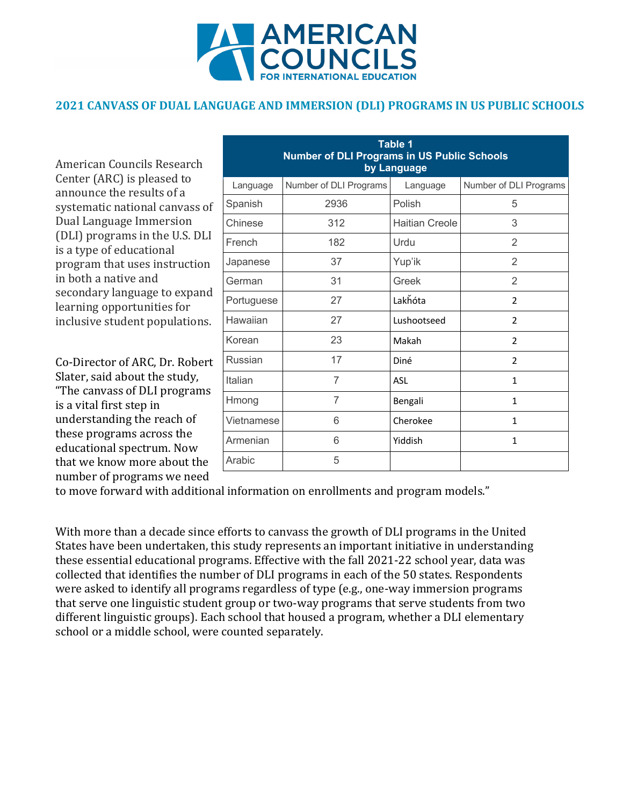

## **2021 CANVASS OF DUAL LANGUAGE AND IMMERSION (DLI) PROGRAMS IN US PUBLIC SCHOOLS**

American Councils Research Center (ARC) is pleased to announce the results of a systematic national canvass of Dual Language Immersion (DLI) programs in the U.S. DLI is a type of educational program that uses instruction in both a native and secondary language to expand learning opportunities for inclusive student populations.

Co-Director of ARC, Dr. Robert Slater, said about the study, "The canvass of DLI programs is a vital first step in understanding the reach of these programs across the educational spectrum. Now that we know more about the number of programs we need

| <b>Table 1</b><br><b>Number of DLI Programs in US Public Schools</b><br>by Language |                        |                       |                        |  |
|-------------------------------------------------------------------------------------|------------------------|-----------------------|------------------------|--|
| Language                                                                            | Number of DLI Programs | Language              | Number of DLI Programs |  |
| Spanish                                                                             | 2936                   | Polish                | 5                      |  |
| Chinese                                                                             | 312                    | <b>Haitian Creole</b> | 3                      |  |
| French                                                                              | 182                    | Urdu                  | 2                      |  |
| Japanese                                                                            | 37                     | Yup'ik                | $\overline{2}$         |  |
| German                                                                              | 31                     | Greek                 | $\overline{2}$         |  |
| Portuguese                                                                          | 27                     | Lakhóta               | 2                      |  |
| Hawaiian                                                                            | 27                     | Lushootseed           | $\mathcal{P}$          |  |
| Korean                                                                              | 23                     | Makah                 | $\overline{2}$         |  |
| Russian                                                                             | 17                     | Diné                  | 2                      |  |
| Italian                                                                             | 7                      | <b>ASL</b>            | 1                      |  |
| Hmong                                                                               | $\overline{7}$         | Bengali               | $\mathbf{1}$           |  |
| Vietnamese                                                                          | 6                      | Cherokee              | 1                      |  |
| Armenian                                                                            | 6                      | Yiddish               | 1                      |  |
| Arabic                                                                              | 5                      |                       |                        |  |

to move forward with additional information on enrollments and program models."

With more than a decade since efforts to canvass the growth of DLI programs in the United States have been undertaken, this study represents an important initiative in understanding these essential educational programs. Effective with the fall 2021-22 school year, data was collected that identifies the number of DLI programs in each of the 50 states. Respondents were asked to identify all programs regardless of type (e.g., one-way immersion programs that serve one linguistic student group or two-way programs that serve students from two different linguistic groups). Each school that housed a program, whether a DLI elementary school or a middle school, were counted separately.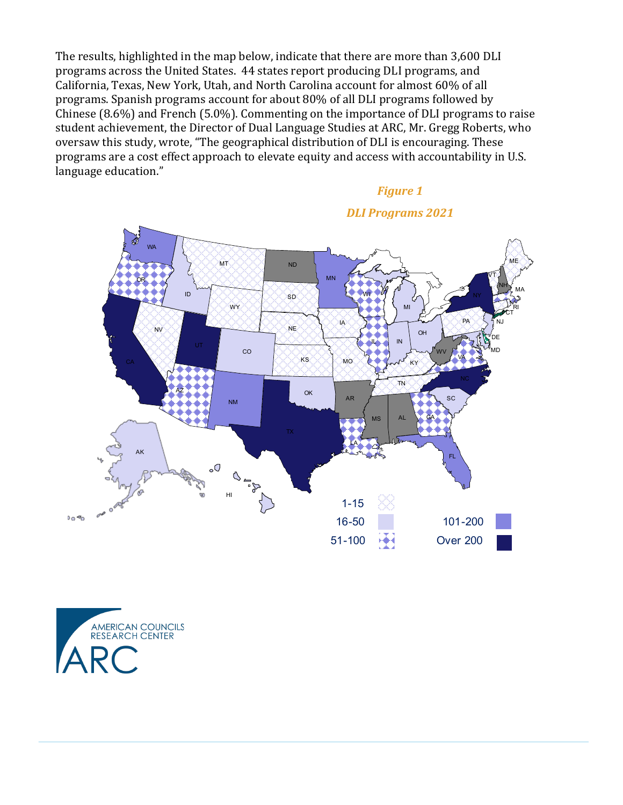The results, highlighted in the map below, indicate that there are more than 3,600 DLI programs across the United States. 44 states report producing DLI programs, and California, Texas, New York, Utah, and North Carolina account for almost 60% of all programs. Spanish programs account for about 80% of all DLI programs followed by Chinese  $(8.6\%)$  and French  $(5.0\%)$ . Commenting on the importance of DLI programs to raise student achievement, the Director of Dual Language Studies at ARC, Mr. Gregg Roberts, who oversaw this study, wrote, "The geographical distribution of DLI is encouraging. These programs are a cost effect approach to elevate equity and access with accountability in U.S. language education."

## **Figure 1**



*DLI Programs 2021*